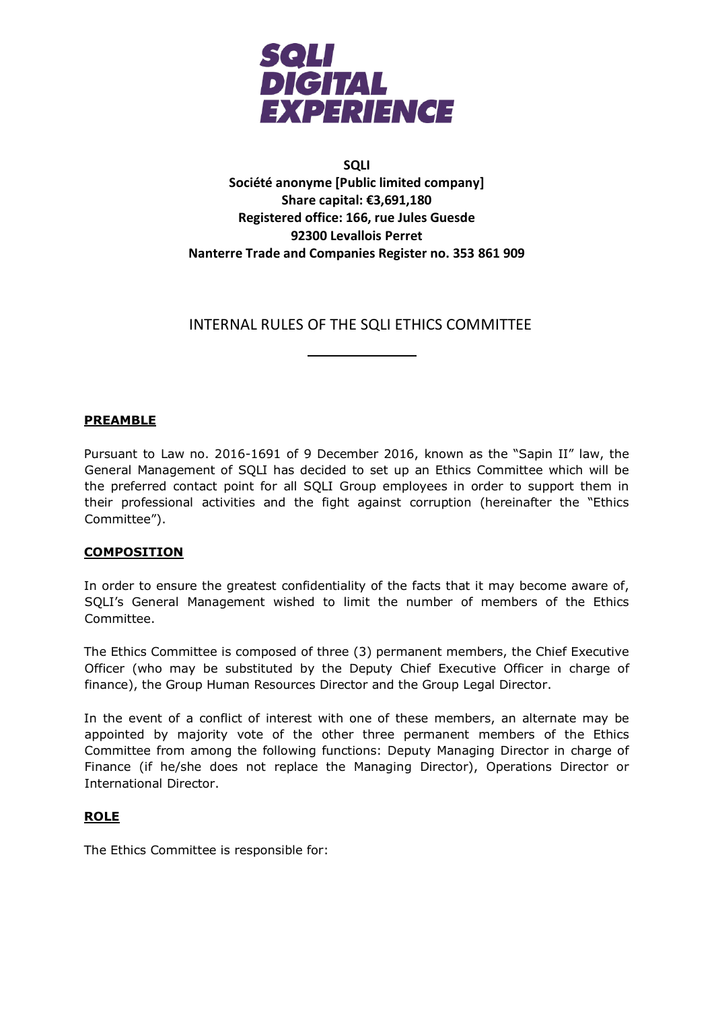

## **SQLI Société anonyme [Public limited company] Share capital: €3,691,180 Registered office: 166, rue Jules Guesde 92300 Levallois Perret Nanterre Trade and Companies Register no. 353 861 909**

# INTERNAL RULES OF THE SQLI ETHICS COMMITTEE

## **PREAMBLE**

Pursuant to Law no. 2016-1691 of 9 December 2016, known as the "Sapin II" law, the General Management of SQLI has decided to set up an Ethics Committee which will be the preferred contact point for all SQLI Group employees in order to support them in their professional activities and the fight against corruption (hereinafter the "Ethics Committee").

### **COMPOSITION**

In order to ensure the greatest confidentiality of the facts that it may become aware of, SQLI's General Management wished to limit the number of members of the Ethics Committee.

The Ethics Committee is composed of three (3) permanent members, the Chief Executive Officer (who may be substituted by the Deputy Chief Executive Officer in charge of finance), the Group Human Resources Director and the Group Legal Director.

In the event of a conflict of interest with one of these members, an alternate may be appointed by majority vote of the other three permanent members of the Ethics Committee from among the following functions: Deputy Managing Director in charge of Finance (if he/she does not replace the Managing Director), Operations Director or International Director.

### **ROLE**

The Ethics Committee is responsible for: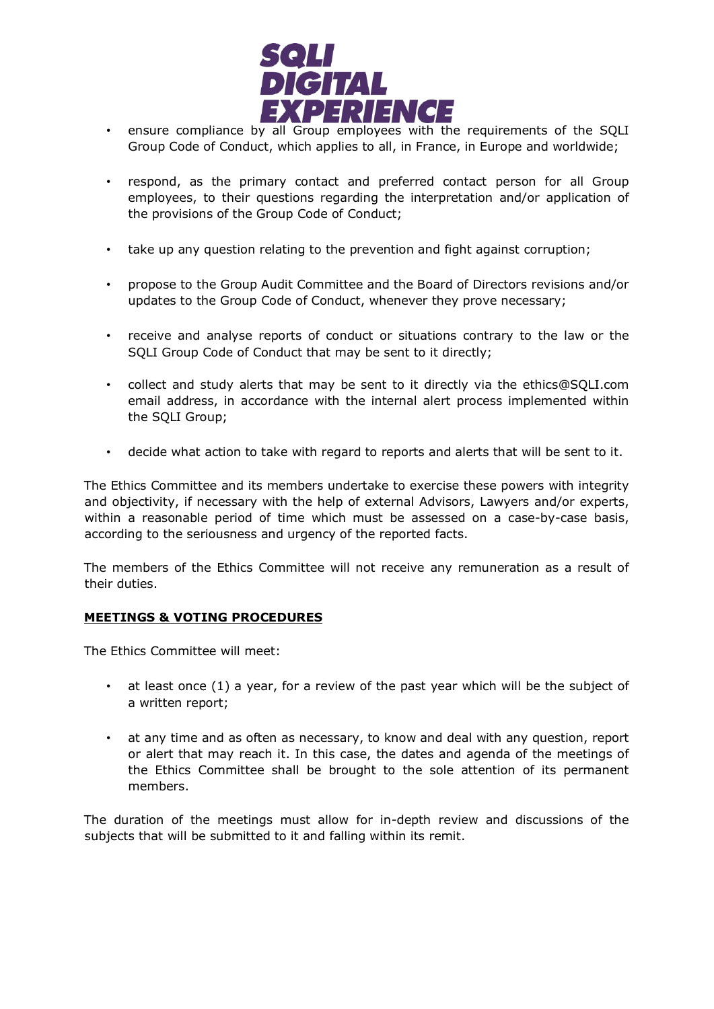

- ensure compliance by all Group employees with the requirements of the SQLI Group Code of Conduct, which applies to all, in France, in Europe and worldwide;
- respond, as the primary contact and preferred contact person for all Group employees, to their questions regarding the interpretation and/or application of the provisions of the Group Code of Conduct;
- take up any question relating to the prevention and fight against corruption;
- propose to the Group Audit Committee and the Board of Directors revisions and/or updates to the Group Code of Conduct, whenever they prove necessary;
- receive and analyse reports of conduct or situations contrary to the law or the SQLI Group Code of Conduct that may be sent to it directly;
- collect and study alerts that may be sent to it directly via the ethics@SQLI.com email address, in accordance with the internal alert process implemented within the SQLI Group;
- decide what action to take with regard to reports and alerts that will be sent to it.

The Ethics Committee and its members undertake to exercise these powers with integrity and objectivity, if necessary with the help of external Advisors, Lawyers and/or experts, within a reasonable period of time which must be assessed on a case-by-case basis, according to the seriousness and urgency of the reported facts.

The members of the Ethics Committee will not receive any remuneration as a result of their duties.

### **MEETINGS & VOTING PROCEDURES**

The Ethics Committee will meet:

- at least once (1) a year, for a review of the past year which will be the subject of a written report;
- at any time and as often as necessary, to know and deal with any question, report or alert that may reach it. In this case, the dates and agenda of the meetings of the Ethics Committee shall be brought to the sole attention of its permanent members.

The duration of the meetings must allow for in-depth review and discussions of the subjects that will be submitted to it and falling within its remit.